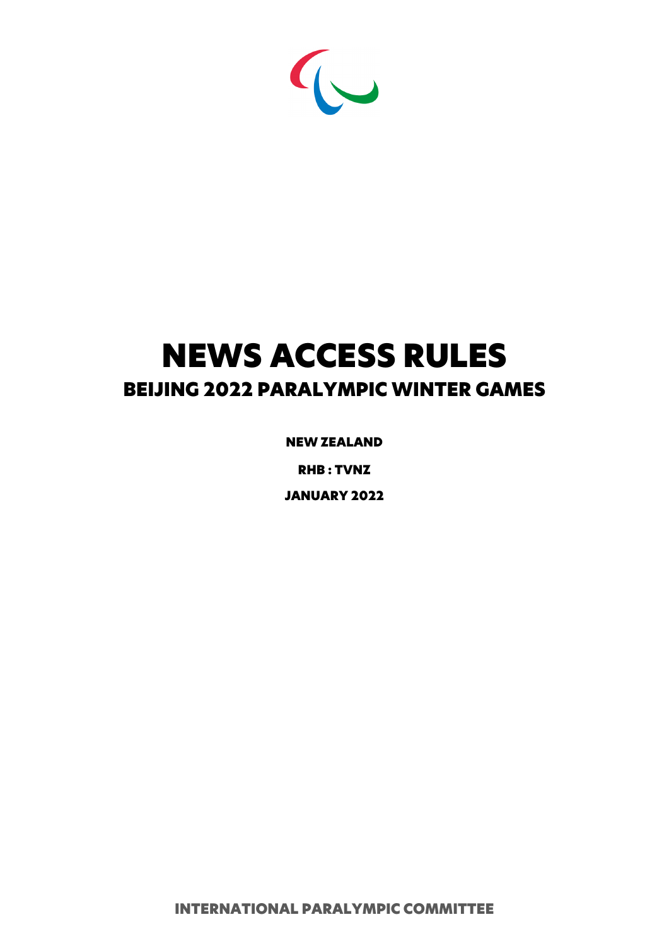

# NEWS ACCESS RULES BEIJING 2022 PARALYMPIC WINTER GAMES

NEW ZEALAND

RHB : TVNZ

JANUARY 2022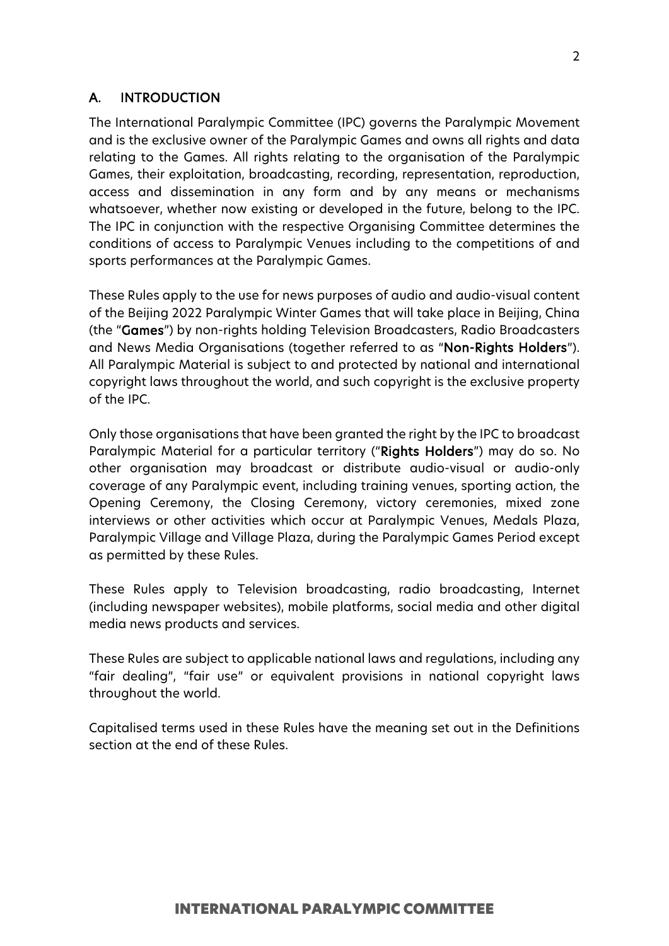# A. INTRODUCTION

The International Paralympic Committee (IPC) governs the Paralympic Movement and is the exclusive owner of the Paralympic Games and owns all rights and data relating to the Games. All rights relating to the organisation of the Paralympic Games, their exploitation, broadcasting, recording, representation, reproduction, access and dissemination in any form and by any means or mechanisms whatsoever, whether now existing or developed in the future, belong to the IPC. The IPC in conjunction with the respective Organising Committee determines the conditions of access to Paralympic Venues including to the competitions of and sports performances at the Paralympic Games.

These Rules apply to the use for news purposes of audio and audio-visual content of the Beijing 2022 Paralympic Winter Games that will take place in Beijing, China (the "Games") by non-rights holding Television Broadcasters, Radio Broadcasters and News Media Organisations (together referred to as "Non-Rights Holders"). All Paralympic Material is subject to and protected by national and international copyright laws throughout the world, and such copyright is the exclusive property of the IPC.

Only those organisations that have been granted the right by the IPC to broadcast Paralympic Material for a particular territory ("Rights Holders") may do so. No other organisation may broadcast or distribute audio-visual or audio-only coverage of any Paralympic event, including training venues, sporting action, the Opening Ceremony, the Closing Ceremony, victory ceremonies, mixed zone interviews or other activities which occur at Paralympic Venues, Medals Plaza, Paralympic Village and Village Plaza, during the Paralympic Games Period except as permitted by these Rules.

These Rules apply to Television broadcasting, radio broadcasting, Internet (including newspaper websites), mobile platforms, social media and other digital media news products and services.

These Rules are subject to applicable national laws and regulations, including any "fair dealing", "fair use" or equivalent provisions in national copyright laws throughout the world.

Capitalised terms used in these Rules have the meaning set out in the Definitions section at the end of these Rules.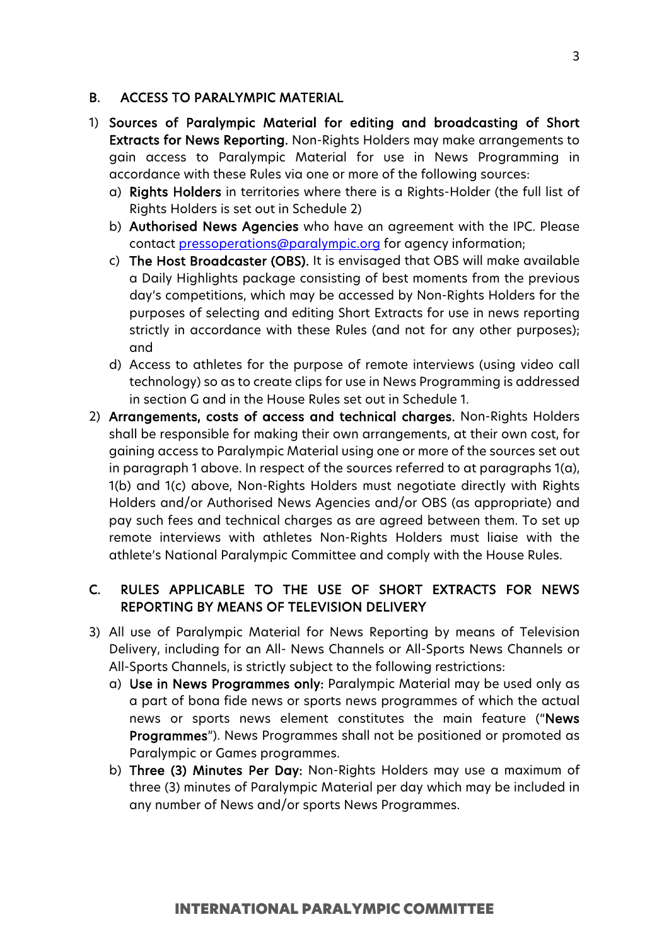# B. ACCESS TO PARALYMPIC MATERIAL

- 1) Sources of Paralympic Material for editing and broadcasting of Short Extracts for News Reporting. Non-Rights Holders may make arrangements to gain access to Paralympic Material for use in News Programming in accordance with these Rules via one or more of the following sources:
	- a) Rights Holders in territories where there is a Rights-Holder (the full list of Rights Holders is set out in Schedule 2)
	- b) Authorised News Agencies who have an agreement with the IPC. Please contact [pressoperations@paralympic.org](mailto:pressoperations@paralympic.org) for agency information;
	- c) The Host Broadcaster (OBS). It is envisaged that OBS will make available a Daily Highlights package consisting of best moments from the previous day's competitions, which may be accessed by Non-Rights Holders for the purposes of selecting and editing Short Extracts for use in news reporting strictly in accordance with these Rules (and not for any other purposes); and
	- d) Access to athletes for the purpose of remote interviews (using video call technology) so as to create clips for use in News Programming is addressed in section G and in the House Rules set out in Schedule 1.
- 2) Arrangements, costs of access and technical charges. Non-Rights Holders shall be responsible for making their own arrangements, at their own cost, for gaining access to Paralympic Material using one or more of the sources set out in paragraph 1 above. In respect of the sources referred to at paragraphs 1(a), 1(b) and 1(c) above, Non-Rights Holders must negotiate directly with Rights Holders and/or Authorised News Agencies and/or OBS (as appropriate) and pay such fees and technical charges as are agreed between them. To set up remote interviews with athletes Non-Rights Holders must liaise with the athlete's National Paralympic Committee and comply with the House Rules.

# C. RULES APPLICABLE TO THE USE OF SHORT EXTRACTS FOR NEWS REPORTING BY MEANS OF TELEVISION DELIVERY

- 3) All use of Paralympic Material for News Reporting by means of Television Delivery, including for an All- News Channels or All-Sports News Channels or All-Sports Channels, is strictly subject to the following restrictions:
	- a) Use in News Programmes only: Paralympic Material may be used only as a part of bona fide news or sports news programmes of which the actual news or sports news element constitutes the main feature ("News Programmes"). News Programmes shall not be positioned or promoted as Paralympic or Games programmes.
	- b) Three (3) Minutes Per Day: Non-Rights Holders may use a maximum of three (3) minutes of Paralympic Material per day which may be included in any number of News and/or sports News Programmes.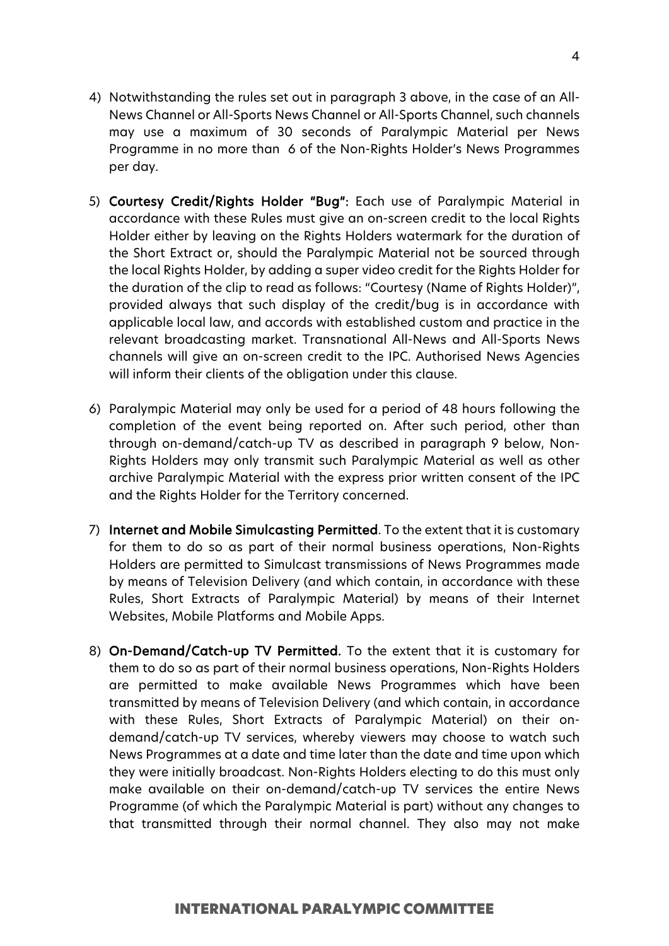4

- News Channel or All-Sports News Channel or All-Sports Channel, such channels may use a maximum of 30 seconds of Paralympic Material per News Programme in no more than 6 of the Non-Rights Holder's News Programmes per day.
- 5) Courtesy Credit/Rights Holder "Bug": Each use of Paralympic Material in accordance with these Rules must give an on-screen credit to the local Rights Holder either by leaving on the Rights Holders watermark for the duration of the Short Extract or, should the Paralympic Material not be sourced through the local Rights Holder, by adding a super video credit for the Rights Holder for the duration of the clip to read as follows: "Courtesy (Name of Rights Holder)", provided always that such display of the credit/bug is in accordance with applicable local law, and accords with established custom and practice in the relevant broadcasting market. Transnational All-News and All-Sports News channels will give an on-screen credit to the IPC. Authorised News Agencies will inform their clients of the obligation under this clause.
- 6) Paralympic Material may only be used for a period of 48 hours following the completion of the event being reported on. After such period, other than through on-demand/catch-up TV as described in paragraph 9 below, Non-Rights Holders may only transmit such Paralympic Material as well as other archive Paralympic Material with the express prior written consent of the IPC and the Rights Holder for the Territory concerned.
- 7) Internet and Mobile Simulcasting Permitted. To the extent that it is customary for them to do so as part of their normal business operations, Non-Rights Holders are permitted to Simulcast transmissions of News Programmes made by means of Television Delivery (and which contain, in accordance with these Rules, Short Extracts of Paralympic Material) by means of their Internet Websites, Mobile Platforms and Mobile Apps.
- 8) On-Demand/Catch-up TV Permitted. To the extent that it is customary for them to do so as part of their normal business operations, Non-Rights Holders are permitted to make available News Programmes which have been transmitted by means of Television Delivery (and which contain, in accordance with these Rules, Short Extracts of Paralympic Material) on their ondemand/catch-up TV services, whereby viewers may choose to watch such News Programmes at a date and time later than the date and time upon which they were initially broadcast. Non-Rights Holders electing to do this must only make available on their on-demand/catch-up TV services the entire News Programme (of which the Paralympic Material is part) without any changes to that transmitted through their normal channel. They also may not make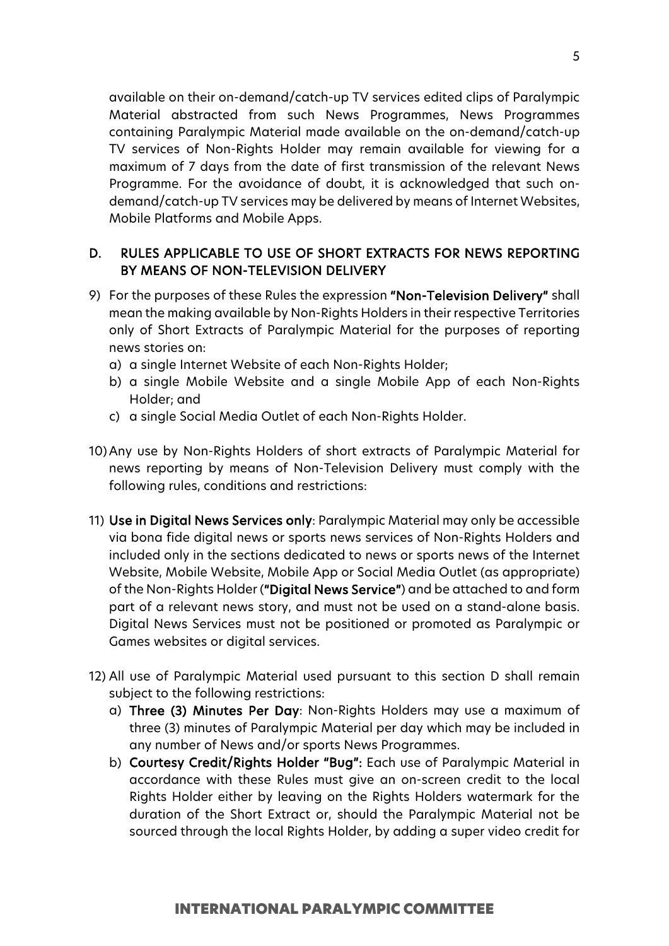available on their on-demand/catch-up TV services edited clips of Paralympic Material abstracted from such News Programmes, News Programmes containing Paralympic Material made available on the on-demand/catch-up TV services of Non-Rights Holder may remain available for viewing for a maximum of 7 days from the date of first transmission of the relevant News Programme. For the avoidance of doubt, it is acknowledged that such ondemand/catch-up TV services may be delivered by means of Internet Websites, Mobile Platforms and Mobile Apps.

# D. RULES APPLICABLE TO USE OF SHORT EXTRACTS FOR NEWS REPORTING BY MEANS OF NON-TELEVISION DELIVERY

- 9) For the purposes of these Rules the expression "Non-Television Delivery" shall mean the making available by Non-Rights Holders in their respective Territories only of Short Extracts of Paralympic Material for the purposes of reporting news stories on:
	- a) a single Internet Website of each Non-Rights Holder;
	- b) a single Mobile Website and a single Mobile App of each Non-Rights Holder; and
	- c) a single Social Media Outlet of each Non-Rights Holder.
- 10) Any use by Non-Rights Holders of short extracts of Paralympic Material for news reporting by means of Non-Television Delivery must comply with the following rules, conditions and restrictions:
- 11) Use in Digital News Services only: Paralympic Material may only be accessible via bona fide digital news or sports news services of Non-Rights Holders and included only in the sections dedicated to news or sports news of the Internet Website, Mobile Website, Mobile App or Social Media Outlet (as appropriate) of the Non-Rights Holder ("Digital News Service") and be attached to and form part of a relevant news story, and must not be used on a stand-alone basis. Digital News Services must not be positioned or promoted as Paralympic or Games websites or digital services.
- 12) All use of Paralympic Material used pursuant to this section D shall remain subject to the following restrictions:
	- a) Three (3) Minutes Per Day: Non-Rights Holders may use a maximum of three (3) minutes of Paralympic Material per day which may be included in any number of News and/or sports News Programmes.
	- b) Courtesy Credit/Rights Holder "Bug": Each use of Paralympic Material in accordance with these Rules must give an on-screen credit to the local Rights Holder either by leaving on the Rights Holders watermark for the duration of the Short Extract or, should the Paralympic Material not be sourced through the local Rights Holder, by adding a super video credit for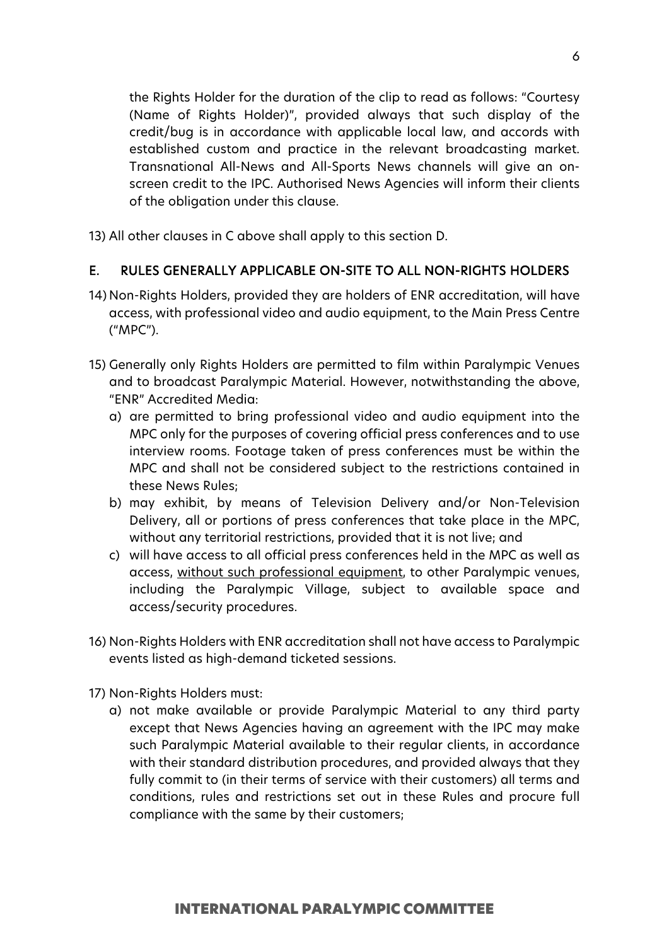the Rights Holder for the duration of the clip to read as follows: "Courtesy (Name of Rights Holder)", provided always that such display of the credit/bug is in accordance with applicable local law, and accords with established custom and practice in the relevant broadcasting market. Transnational All-News and All-Sports News channels will give an onscreen credit to the IPC. Authorised News Agencies will inform their clients of the obligation under this clause.

13) All other clauses in C above shall apply to this section D.

# E. RULES GENERALLY APPLICABLE ON-SITE TO ALL NON-RIGHTS HOLDERS

- 14) Non-Rights Holders, provided they are holders of ENR accreditation, will have access, with professional video and audio equipment, to the Main Press Centre ("MPC").
- 15) Generally only Rights Holders are permitted to film within Paralympic Venues and to broadcast Paralympic Material. However, notwithstanding the above, "ENR" Accredited Media:
	- a) are permitted to bring professional video and audio equipment into the MPC only for the purposes of covering official press conferences and to use interview rooms. Footage taken of press conferences must be within the MPC and shall not be considered subject to the restrictions contained in these News Rules;
	- b) may exhibit, by means of Television Delivery and/or Non-Television Delivery, all or portions of press conferences that take place in the MPC, without any territorial restrictions, provided that it is not live; and
	- c) will have access to all official press conferences held in the MPC as well as access, without such professional equipment, to other Paralympic venues, including the Paralympic Village, subject to available space and access/security procedures.
- 16) Non-Rights Holders with ENR accreditation shall not have access to Paralympic events listed as high-demand ticketed sessions.
- 17) Non-Rights Holders must:
	- a) not make available or provide Paralympic Material to any third party except that News Agencies having an agreement with the IPC may make such Paralympic Material available to their regular clients, in accordance with their standard distribution procedures, and provided always that they fully commit to (in their terms of service with their customers) all terms and conditions, rules and restrictions set out in these Rules and procure full compliance with the same by their customers;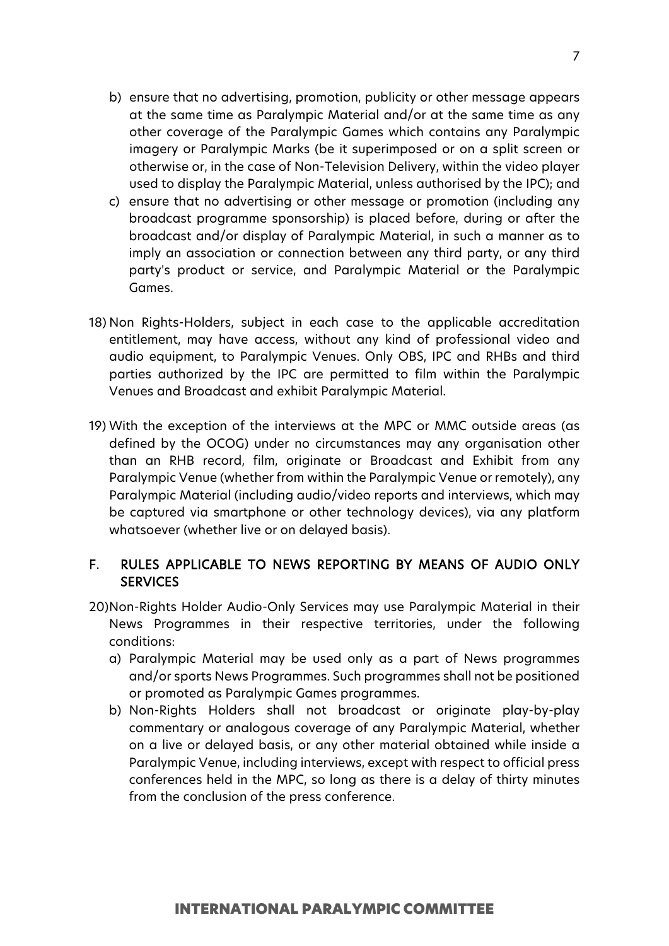- b) ensure that no advertising, promotion, publicity or other message appears at the same time as Paralympic Material and/or at the same time as any other coverage of the Paralympic Games which contains any Paralympic imagery or Paralympic Marks (be it superimposed or on a split screen or otherwise or, in the case of Non-Television Delivery, within the video player used to display the Paralympic Material, unless authorised by the IPC); and
- c) ensure that no advertising or other message or promotion (including any broadcast programme sponsorship) is placed before, during or after the broadcast and/or display of Paralympic Material, in such a manner as to imply an association or connection between any third party, or any third party's product or service, and Paralympic Material or the Paralympic Games.
- 18) Non Rights-Holders, subject in each case to the applicable accreditation entitlement, may have access, without any kind of professional video and audio equipment, to Paralympic Venues. Only OBS, IPC and RHBs and third parties authorized by the IPC are permitted to film within the Paralympic Venues and Broadcast and exhibit Paralympic Material.
- 19) With the exception of the interviews at the MPC or MMC outside areas (as defined by the OCOG) under no circumstances may any organisation other than an RHB record, film, originate or Broadcast and Exhibit from any Paralympic Venue (whether from within the Paralympic Venue or remotely), any Paralympic Material (including audio/video reports and interviews, which may be captured via smartphone or other technology devices), via any platform whatsoever (whether live or on delayed basis).

# F. RULES APPLICABLE TO NEWS REPORTING BY MEANS OF AUDIO ONLY **SERVICES**

- 20)Non-Rights Holder Audio-Only Services may use Paralympic Material in their News Programmes in their respective territories, under the following conditions:
	- a) Paralympic Material may be used only as a part of News programmes and/or sports News Programmes. Such programmes shall not be positioned or promoted as Paralympic Games programmes.
	- b) Non-Rights Holders shall not broadcast or originate play-by-play commentary or analogous coverage of any Paralympic Material, whether on a live or delayed basis, or any other material obtained while inside a Paralympic Venue, including interviews, except with respect to official press conferences held in the MPC, so long as there is a delay of thirty minutes from the conclusion of the press conference.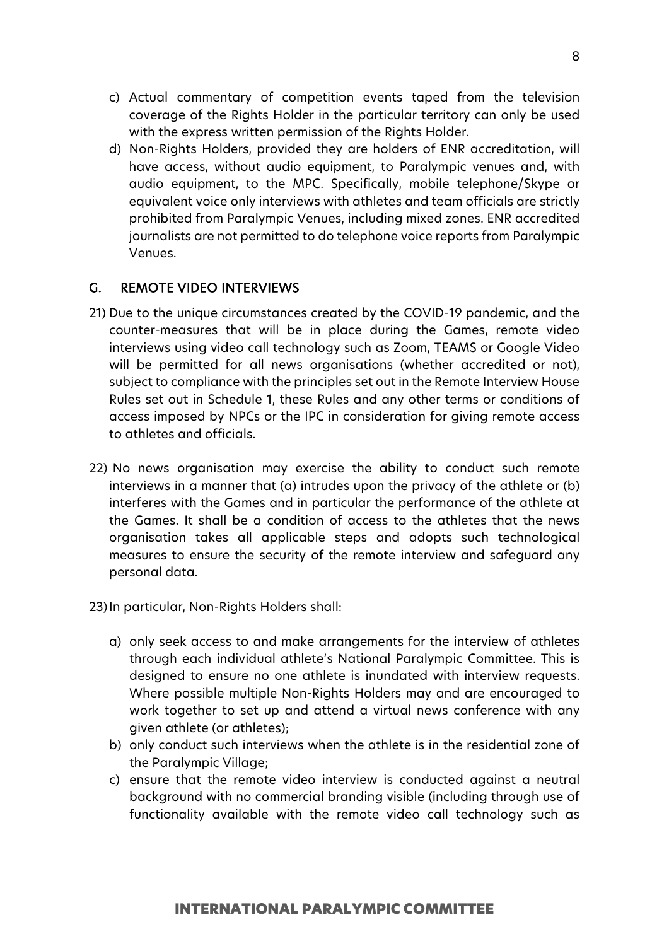- c) Actual commentary of competition events taped from the television coverage of the Rights Holder in the particular territory can only be used with the express written permission of the Rights Holder.
- d) Non-Rights Holders, provided they are holders of ENR accreditation, will have access, without audio equipment, to Paralympic venues and, with audio equipment, to the MPC. Specifically, mobile telephone/Skype or equivalent voice only interviews with athletes and team officials are strictly prohibited from Paralympic Venues, including mixed zones. ENR accredited journalists are not permitted to do telephone voice reports from Paralympic Venues.

# G. REMOTE VIDEO INTERVIEWS

- 21) Due to the unique circumstances created by the COVID-19 pandemic, and the counter-measures that will be in place during the Games, remote video interviews using video call technology such as Zoom, TEAMS or Google Video will be permitted for all news organisations (whether accredited or not), subject to compliance with the principles set out in the Remote Interview House Rules set out in Schedule 1, these Rules and any other terms or conditions of access imposed by NPCs or the IPC in consideration for giving remote access to athletes and officials.
- 22) No news organisation may exercise the ability to conduct such remote interviews in a manner that (a) intrudes upon the privacy of the athlete or (b) interferes with the Games and in particular the performance of the athlete at the Games. It shall be a condition of access to the athletes that the news organisation takes all applicable steps and adopts such technological measures to ensure the security of the remote interview and safeguard any personal data.
- 23)In particular, Non-Rights Holders shall:
	- a) only seek access to and make arrangements for the interview of athletes through each individual athlete's National Paralympic Committee. This is designed to ensure no one athlete is inundated with interview requests. Where possible multiple Non-Rights Holders may and are encouraged to work together to set up and attend a virtual news conference with any given athlete (or athletes);
	- b) only conduct such interviews when the athlete is in the residential zone of the Paralympic Village;
	- c) ensure that the remote video interview is conducted against a neutral background with no commercial branding visible (including through use of functionality available with the remote video call technology such as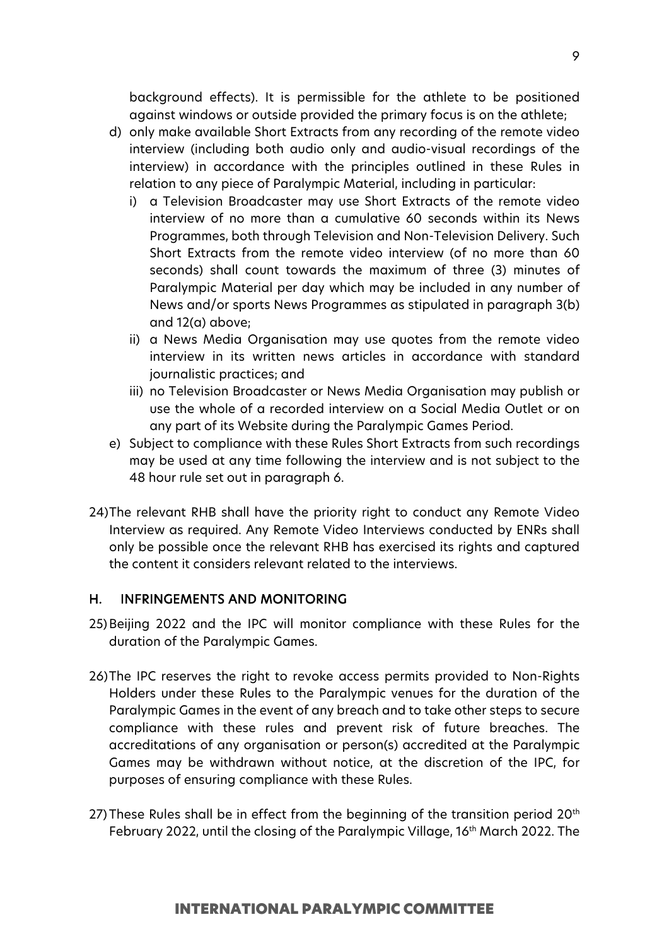background effects). It is permissible for the athlete to be positioned against windows or outside provided the primary focus is on the athlete;

- d) only make available Short Extracts from any recording of the remote video interview (including both audio only and audio-visual recordings of the interview) in accordance with the principles outlined in these Rules in relation to any piece of Paralympic Material, including in particular:
	- i) a Television Broadcaster may use Short Extracts of the remote video interview of no more than a cumulative 60 seconds within its News Programmes, both through Television and Non-Television Delivery. Such Short Extracts from the remote video interview (of no more than 60 seconds) shall count towards the maximum of three (3) minutes of Paralympic Material per day which may be included in any number of News and/or sports News Programmes as stipulated in paragraph 3(b) and 12(a) above;
	- ii) a News Media Organisation may use quotes from the remote video interview in its written news articles in accordance with standard journalistic practices; and
	- iii) no Television Broadcaster or News Media Organisation may publish or use the whole of a recorded interview on a Social Media Outlet or on any part of its Website during the Paralympic Games Period.
- e) Subject to compliance with these Rules Short Extracts from such recordings may be used at any time following the interview and is not subject to the 48 hour rule set out in paragraph 6.
- 24)The relevant RHB shall have the priority right to conduct any Remote Video Interview as required. Any Remote Video Interviews conducted by ENRs shall only be possible once the relevant RHB has exercised its rights and captured the content it considers relevant related to the interviews.

# H. INFRINGEMENTS AND MONITORING

- 25)Beijing 2022 and the IPC will monitor compliance with these Rules for the duration of the Paralympic Games.
- 26)The IPC reserves the right to revoke access permits provided to Non-Rights Holders under these Rules to the Paralympic venues for the duration of the Paralympic Games in the event of any breach and to take other steps to secure compliance with these rules and prevent risk of future breaches. The accreditations of any organisation or person(s) accredited at the Paralympic Games may be withdrawn without notice, at the discretion of the IPC, for purposes of ensuring compliance with these Rules.
- 27) These Rules shall be in effect from the beginning of the transition period  $20<sup>th</sup>$ February 2022, until the closing of the Paralympic Village, 16<sup>th</sup> March 2022. The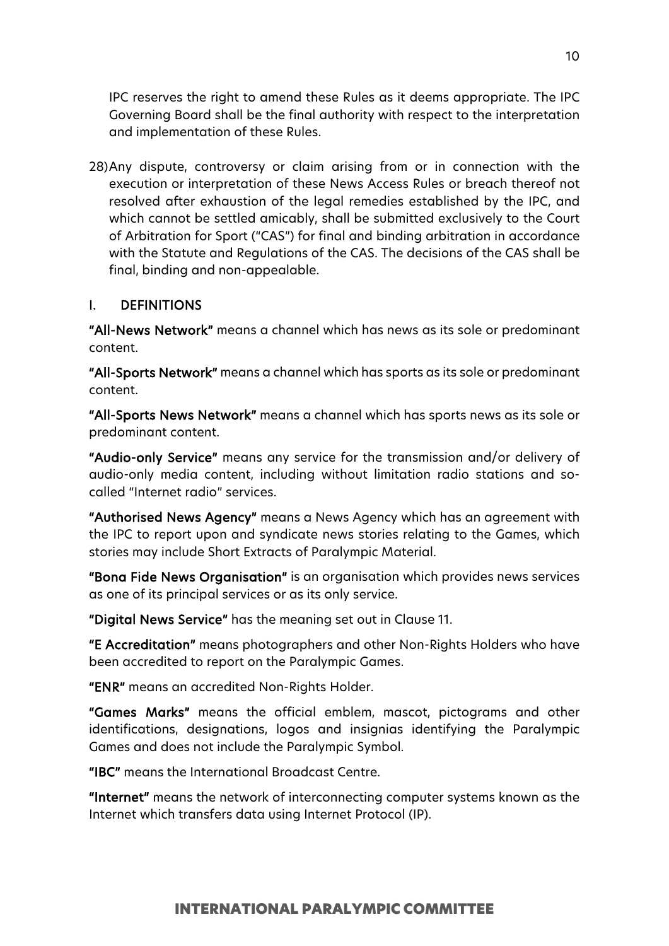IPC reserves the right to amend these Rules as it deems appropriate. The IPC Governing Board shall be the final authority with respect to the interpretation and implementation of these Rules.

28)Any dispute, controversy or claim arising from or in connection with the execution or interpretation of these News Access Rules or breach thereof not resolved after exhaustion of the legal remedies established by the IPC, and which cannot be settled amicably, shall be submitted exclusively to the Court of Arbitration for Sport ("CAS") for final and binding arbitration in accordance with the Statute and Regulations of the CAS. The decisions of the CAS shall be final, binding and non-appealable.

#### I. DEFINITIONS

"All-News Network" means a channel which has news as its sole or predominant content.

"All-Sports Network" means a channel which has sports as its sole or predominant content.

"All-Sports News Network" means a channel which has sports news as its sole or predominant content.

"Audio-only Service" means any service for the transmission and/or delivery of audio-only media content, including without limitation radio stations and socalled "Internet radio" services.

"Authorised News Agency" means a News Agency which has an agreement with the IPC to report upon and syndicate news stories relating to the Games, which stories may include Short Extracts of Paralympic Material.

"Bona Fide News Organisation" is an organisation which provides news services as one of its principal services or as its only service.

"Digital News Service" has the meaning set out in Clause 11.

"E Accreditation" means photographers and other Non-Rights Holders who have been accredited to report on the Paralympic Games.

"ENR" means an accredited Non-Rights Holder.

"Games Marks" means the official emblem, mascot, pictograms and other identifications, designations, logos and insignias identifying the Paralympic Games and does not include the Paralympic Symbol.

"IBC" means the International Broadcast Centre.

"Internet" means the network of interconnecting computer systems known as the Internet which transfers data using Internet Protocol (IP).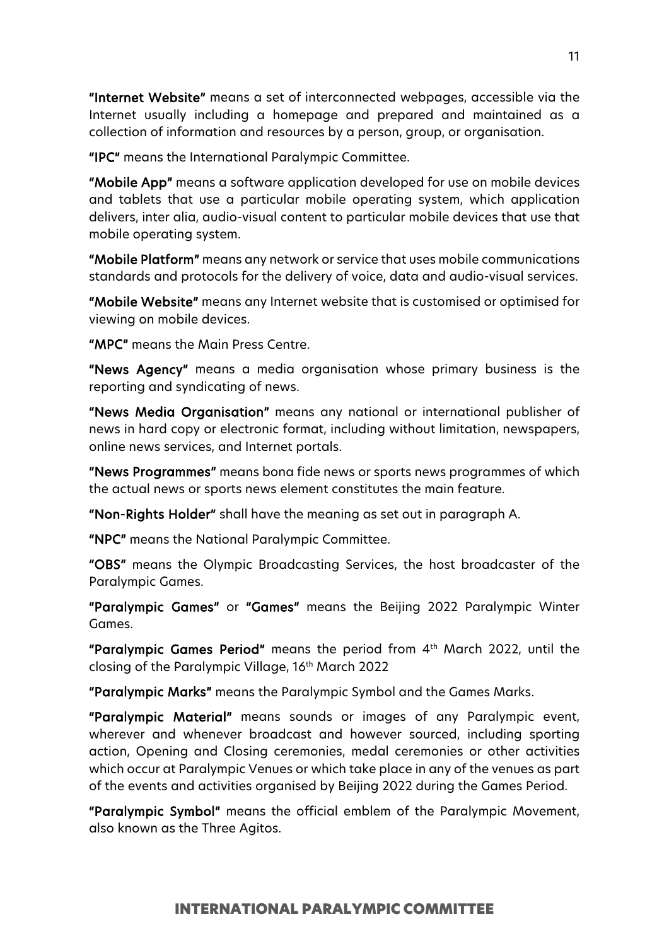"Internet Website" means a set of interconnected webpages, accessible via the Internet usually including a homepage and prepared and maintained as a collection of information and resources by a person, group, or organisation.

"IPC" means the International Paralympic Committee.

"Mobile App" means a software application developed for use on mobile devices and tablets that use a particular mobile operating system, which application delivers, inter alia, audio-visual content to particular mobile devices that use that mobile operating system.

"Mobile Platform" means any network or service that uses mobile communications standards and protocols for the delivery of voice, data and audio-visual services.

"Mobile Website" means any Internet website that is customised or optimised for viewing on mobile devices.

"MPC" means the Main Press Centre.

"News Agency" means a media organisation whose primary business is the reporting and syndicating of news.

"News Media Organisation" means any national or international publisher of news in hard copy or electronic format, including without limitation, newspapers, online news services, and Internet portals.

"News Programmes" means bona fide news or sports news programmes of which the actual news or sports news element constitutes the main feature.

"Non-Rights Holder" shall have the meaning as set out in paragraph A.

"NPC" means the National Paralympic Committee.

"OBS" means the Olympic Broadcasting Services, the host broadcaster of the Paralympic Games.

"Paralympic Games" or "Games" means the Beijing 2022 Paralympic Winter Games.

"Paralympic Games Period" means the period from 4th March 2022, until the closing of the Paralympic Village, 16<sup>th</sup> March 2022

"Paralympic Marks" means the Paralympic Symbol and the Games Marks.

"Paralympic Material" means sounds or images of any Paralympic event, wherever and whenever broadcast and however sourced, including sporting action, Opening and Closing ceremonies, medal ceremonies or other activities which occur at Paralympic Venues or which take place in any of the venues as part of the events and activities organised by Beijing 2022 during the Games Period.

"Paralympic Symbol" means the official emblem of the Paralympic Movement, also known as the Three Agitos.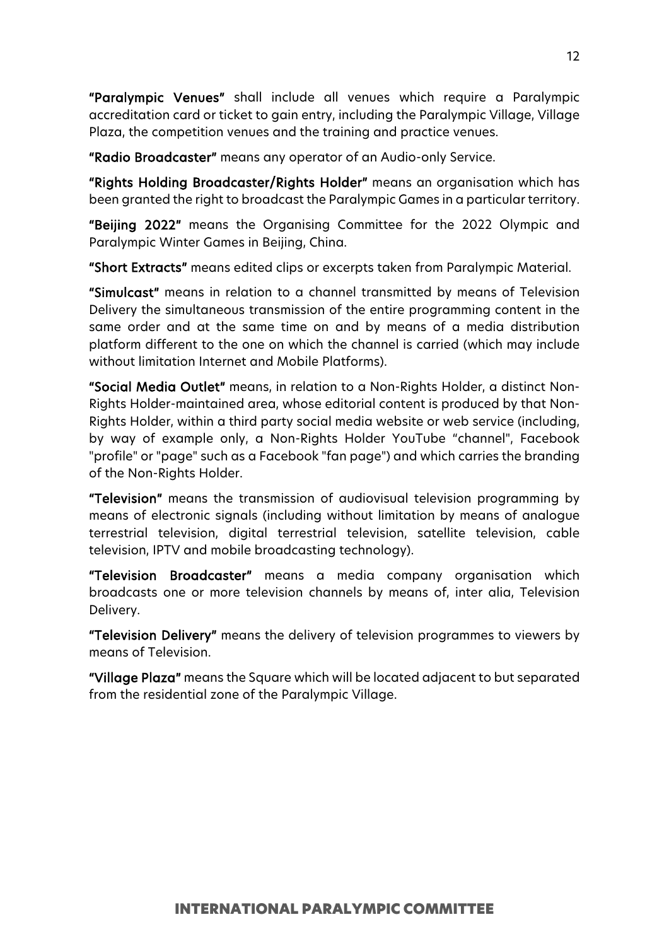"Paralympic Venues" shall include all venues which require a Paralympic accreditation card or ticket to gain entry, including the Paralympic Village, Village Plaza, the competition venues and the training and practice venues.

"Radio Broadcaster" means any operator of an Audio-only Service.

"Rights Holding Broadcaster/Rights Holder" means an organisation which has been granted the right to broadcast the Paralympic Games in a particular territory.

"Beijing 2022" means the Organising Committee for the 2022 Olympic and Paralympic Winter Games in Beijing, China.

"Short Extracts" means edited clips or excerpts taken from Paralympic Material.

"Simulcast" means in relation to a channel transmitted by means of Television Delivery the simultaneous transmission of the entire programming content in the same order and at the same time on and by means of a media distribution platform different to the one on which the channel is carried (which may include without limitation Internet and Mobile Platforms).

"Social Media Outlet" means, in relation to a Non-Rights Holder, a distinct Non-Rights Holder-maintained area, whose editorial content is produced by that Non-Rights Holder, within a third party social media website or web service (including, by way of example only, a Non-Rights Holder YouTube "channel", Facebook "profile" or "page" such as a Facebook "fan page") and which carries the branding of the Non-Rights Holder.

"Television" means the transmission of audiovisual television programming by means of electronic signals (including without limitation by means of analogue terrestrial television, digital terrestrial television, satellite television, cable television, IPTV and mobile broadcasting technology).

"Television Broadcaster" means a media company organisation which broadcasts one or more television channels by means of, inter alia, Television Delivery.

"Television Delivery" means the delivery of television programmes to viewers by means of Television.

"Village Plaza" means the Square which will be located adjacent to but separated from the residential zone of the Paralympic Village.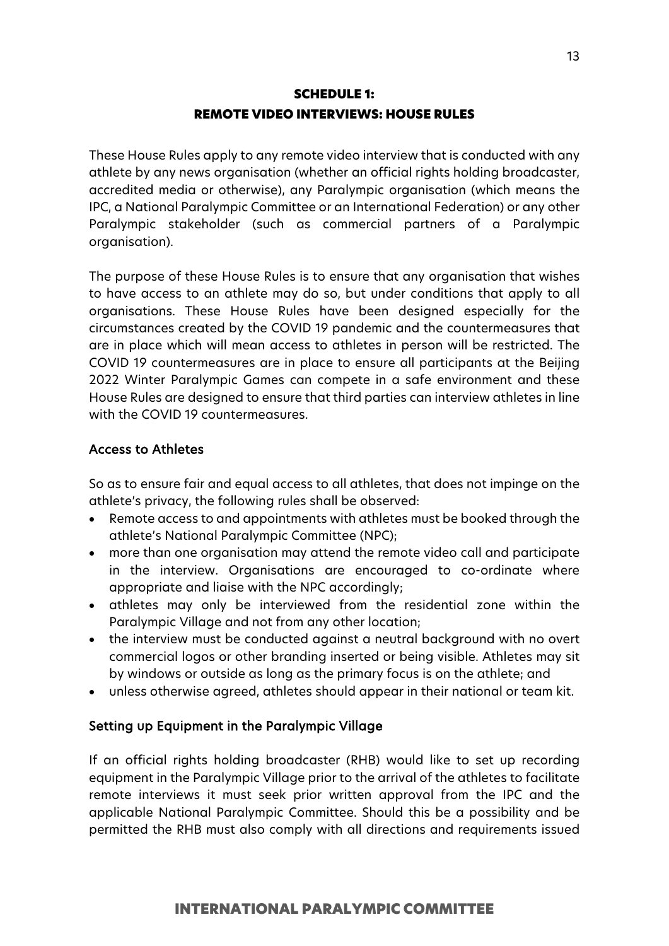# SCHEDULE 1: REMOTE VIDEO INTERVIEWS: HOUSE RULES

These House Rules apply to any remote video interview that is conducted with any athlete by any news organisation (whether an official rights holding broadcaster, accredited media or otherwise), any Paralympic organisation (which means the IPC, a National Paralympic Committee or an International Federation) or any other Paralympic stakeholder (such as commercial partners of a Paralympic organisation).

The purpose of these House Rules is to ensure that any organisation that wishes to have access to an athlete may do so, but under conditions that apply to all organisations. These House Rules have been designed especially for the circumstances created by the COVID 19 pandemic and the countermeasures that are in place which will mean access to athletes in person will be restricted. The COVID 19 countermeasures are in place to ensure all participants at the Beijing 2022 Winter Paralympic Games can compete in a safe environment and these House Rules are designed to ensure that third parties can interview athletes in line with the COVID 19 countermeasures.

# Access to Athletes

So as to ensure fair and equal access to all athletes, that does not impinge on the athlete's privacy, the following rules shall be observed:

- Remote access to and appointments with athletes must be booked through the athlete's National Paralympic Committee (NPC);
- more than one organisation may attend the remote video call and participate in the interview. Organisations are encouraged to co-ordinate where appropriate and liaise with the NPC accordingly;
- athletes may only be interviewed from the residential zone within the Paralympic Village and not from any other location;
- the interview must be conducted against a neutral background with no overt commercial logos or other branding inserted or being visible. Athletes may sit by windows or outside as long as the primary focus is on the athlete; and
- unless otherwise agreed, athletes should appear in their national or team kit.

# Setting up Equipment in the Paralympic Village

If an official rights holding broadcaster (RHB) would like to set up recording equipment in the Paralympic Village prior to the arrival of the athletes to facilitate remote interviews it must seek prior written approval from the IPC and the applicable National Paralympic Committee. Should this be a possibility and be permitted the RHB must also comply with all directions and requirements issued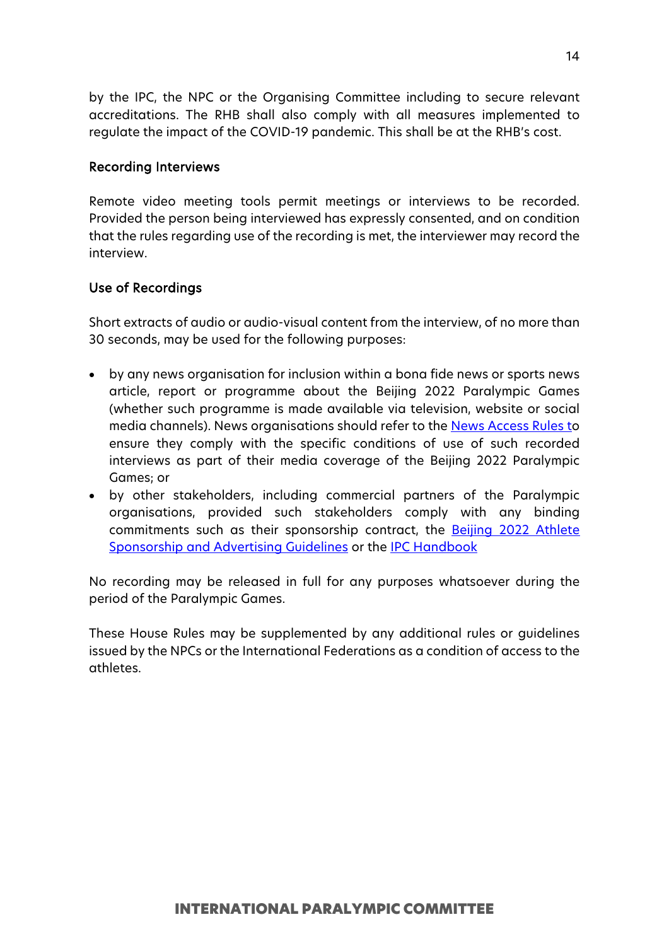by the IPC, the NPC or the Organising Committee including to secure relevant accreditations. The RHB shall also comply with all measures implemented to regulate the impact of the COVID-19 pandemic. This shall be at the RHB's cost.

#### Recording Interviews

Remote video meeting tools permit meetings or interviews to be recorded. Provided the person being interviewed has expressly consented, and on condition that the rules regarding use of the recording is met, the interviewer may record the interview.

# Use of Recordings

Short extracts of audio or audio-visual content from the interview, of no more than 30 seconds, may be used for the following purposes:

- by any news organisation for inclusion within a bona fide news or sports news article, report or programme about the Beijing 2022 Paralympic Games (whether such programme is made available via television, website or social media channels). News organisations should refer to the **News Access Rules to** ensure they comply with the specific conditions of use of such recorded interviews as part of their media coverage of the Beijing 2022 Paralympic Games; or
- by other stakeholders, including commercial partners of the Paralympic organisations, provided such stakeholders comply with any binding commitments such as their sponsorship contract, the **[Beijing 2022](https://www.paralympic.org/beijing-2022/guides-and-policies)** Athlete [Sponsorship and Advertising Guidelines](https://www.paralympic.org/beijing-2022/guides-and-policies) or the [IPC Handbook](https://www.paralympic.org/ipc-handbook)

No recording may be released in full for any purposes whatsoever during the period of the Paralympic Games.

These House Rules may be supplemented by any additional rules or guidelines issued by the NPCs or the International Federations as a condition of access to the athletes.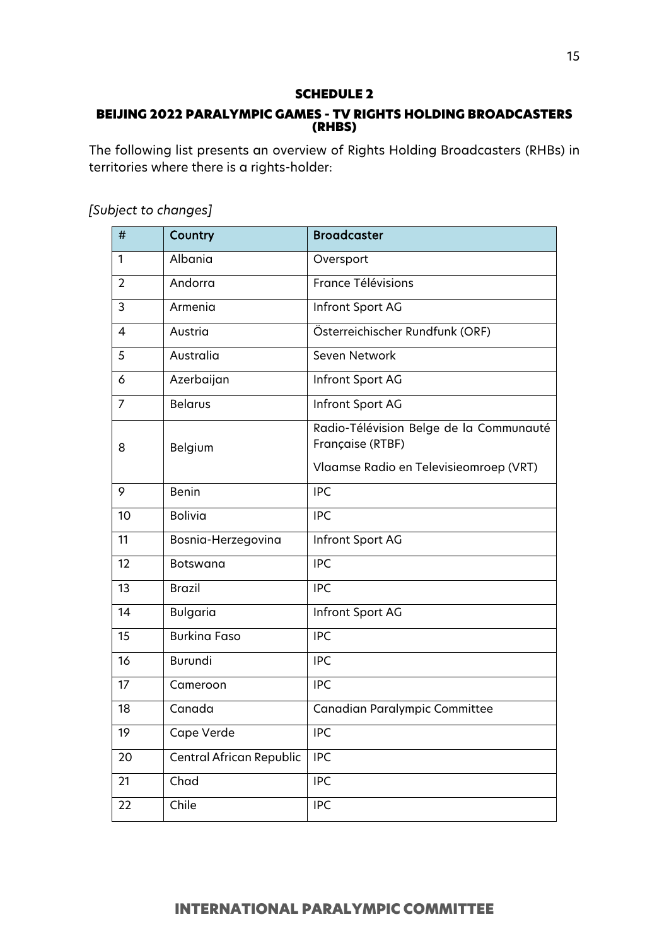#### SCHEDULE 2

# BEIJING 2022 PARALYMPIC GAMES - TV RIGHTS HOLDING BROADCASTERS (RHBS)

The following list presents an overview of Rights Holding Broadcasters (RHBs) in territories where there is a rights-holder:

| $\#$           | Country                         | <b>Broadcaster</b>                                                                                    |
|----------------|---------------------------------|-------------------------------------------------------------------------------------------------------|
| 1              | Albania                         | Oversport                                                                                             |
| $\overline{2}$ | Andorra                         | France Télévisions                                                                                    |
| 3              | Armenia                         | Infront Sport AG                                                                                      |
| 4              | Austria                         | Österreichischer Rundfunk (ORF)                                                                       |
| 5              | Australia                       | Seven Network                                                                                         |
| 6              | Azerbaijan                      | Infront Sport AG                                                                                      |
| 7              | <b>Belarus</b>                  | Infront Sport AG                                                                                      |
| 8              | Belgium                         | Radio-Télévision Belge de la Communauté<br>Française (RTBF)<br>Vlaamse Radio en Televisieomroep (VRT) |
| 9              | Benin                           | <b>IPC</b>                                                                                            |
| 10             | <b>Bolivia</b>                  | <b>IPC</b>                                                                                            |
| 11             | Bosnia-Herzegovina              | Infront Sport AG                                                                                      |
| 12             | <b>Botswana</b>                 | <b>IPC</b>                                                                                            |
| 13             | <b>Brazil</b>                   | <b>IPC</b>                                                                                            |
| 14             | <b>Bulgaria</b>                 | Infront Sport AG                                                                                      |
| 15             | <b>Burkina Faso</b>             | <b>IPC</b>                                                                                            |
| 16             | Burundi                         | <b>IPC</b>                                                                                            |
| 17             | Cameroon                        | <b>IPC</b>                                                                                            |
| 18             | Canada                          | Canadian Paralympic Committee                                                                         |
| 19             | Cape Verde                      | <b>IPC</b>                                                                                            |
| 20             | <b>Central African Republic</b> | <b>IPC</b>                                                                                            |
| 21             | Chad                            | <b>IPC</b>                                                                                            |
| 22             | Chile                           | <b>IPC</b>                                                                                            |

*[Subject to changes]*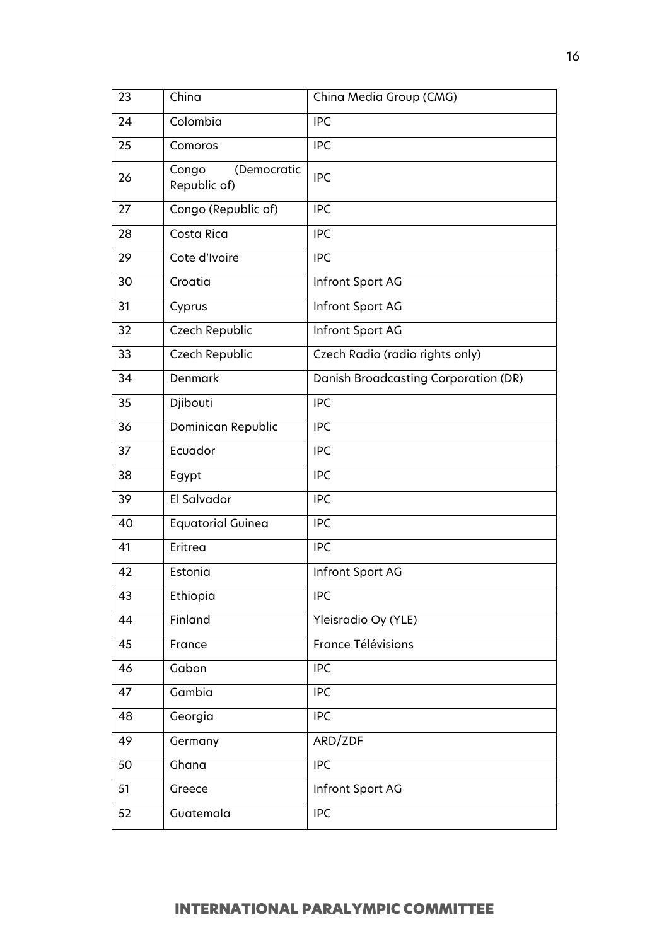| 23 | China                                | China Media Group (CMG)              |
|----|--------------------------------------|--------------------------------------|
| 24 | Colombia                             | <b>IPC</b>                           |
| 25 | Comoros                              | <b>IPC</b>                           |
| 26 | Congo<br>(Democratic<br>Republic of) | <b>IPC</b>                           |
| 27 | Congo (Republic of)                  | <b>IPC</b>                           |
| 28 | Costa Rica                           | <b>IPC</b>                           |
| 29 | Cote d'Ivoire                        | <b>IPC</b>                           |
| 30 | Croatia                              | Infront Sport AG                     |
| 31 | Cyprus                               | Infront Sport AG                     |
| 32 | Czech Republic                       | Infront Sport AG                     |
| 33 | Czech Republic                       | Czech Radio (radio rights only)      |
| 34 | Denmark                              | Danish Broadcasting Corporation (DR) |
| 35 | Djibouti                             | <b>IPC</b>                           |
| 36 | Dominican Republic                   | <b>IPC</b>                           |
| 37 | Ecuador                              | <b>IPC</b>                           |
| 38 | Egypt                                | <b>IPC</b>                           |
| 39 | El Salvador                          | <b>IPC</b>                           |
| 40 | <b>Equatorial Guinea</b>             | <b>IPC</b>                           |
| 41 | Eritrea                              | <b>IPC</b>                           |
| 42 | Estonia                              | Infront Sport AG                     |
| 43 | Ethiopia                             | <b>IPC</b>                           |
| 44 | Finland                              | Yleisradio Oy (YLE)                  |
| 45 | France                               | <b>France Télévisions</b>            |
| 46 | Gabon                                | <b>IPC</b>                           |
| 47 | Gambia                               | <b>IPC</b>                           |
| 48 | Georgia                              | <b>IPC</b>                           |
| 49 | Germany                              | ARD/ZDF                              |
| 50 | Ghana                                | <b>IPC</b>                           |
| 51 | Greece                               | Infront Sport AG                     |
| 52 | Guatemala                            | <b>IPC</b>                           |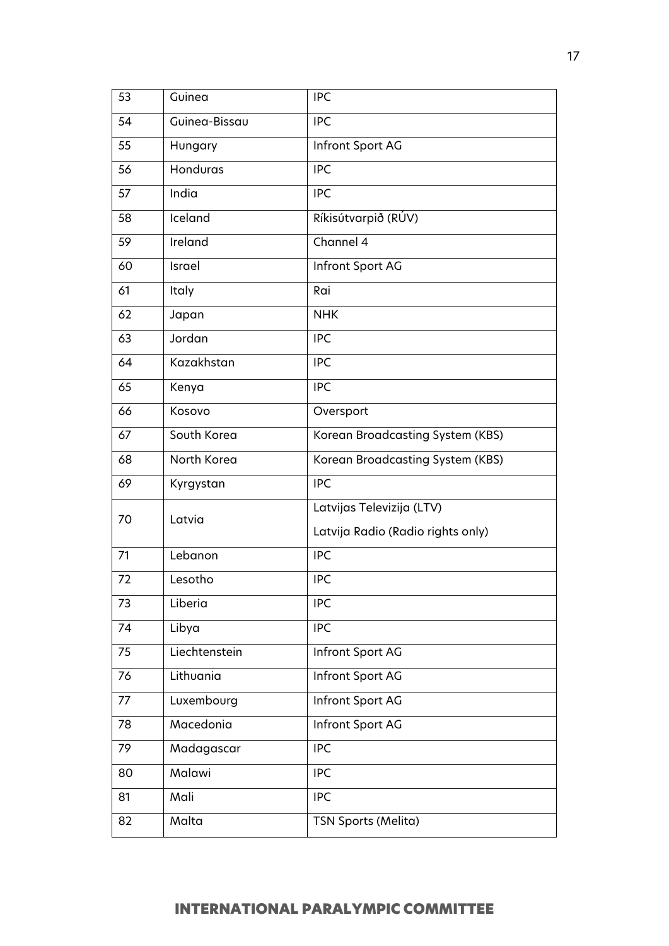| 53 | Guinea        | <b>IPC</b>                        |
|----|---------------|-----------------------------------|
| 54 | Guinea-Bissau | <b>IPC</b>                        |
| 55 | Hungary       | Infront Sport AG                  |
| 56 | Honduras      | <b>IPC</b>                        |
| 57 | India         | <b>IPC</b>                        |
| 58 | Iceland       | Ríkisútvarpið (RÚV)               |
| 59 | Ireland       | Channel 4                         |
| 60 | Israel        | Infront Sport AG                  |
| 61 | Italy         | Rai                               |
| 62 | Japan         | <b>NHK</b>                        |
| 63 | Jordan        | <b>IPC</b>                        |
| 64 | Kazakhstan    | <b>IPC</b>                        |
| 65 | Kenya         | <b>IPC</b>                        |
| 66 | Kosovo        | Oversport                         |
| 67 | South Korea   | Korean Broadcasting System (KBS)  |
| 68 | North Korea   | Korean Broadcasting System (KBS)  |
| 69 | Kyrgystan     | <b>IPC</b>                        |
| 70 | Latvia        | Latvijas Televizija (LTV)         |
|    |               | Latvija Radio (Radio rights only) |
| 71 | Lebanon       | <b>IPC</b>                        |
| 72 | Lesotho       | <b>IPC</b>                        |
| 73 | Liberia       | <b>IPC</b>                        |
| 74 | Libya         | <b>IPC</b>                        |
| 75 | Liechtenstein | Infront Sport AG                  |
| 76 | Lithuania     | Infront Sport AG                  |
| 77 | Luxembourg    | Infront Sport AG                  |
| 78 | Macedonia     | Infront Sport AG                  |
| 79 | Madagascar    | <b>IPC</b>                        |
| 80 | Malawi        | <b>IPC</b>                        |
| 81 | Mali          | <b>IPC</b>                        |
| 82 | Malta         | TSN Sports (Melita)               |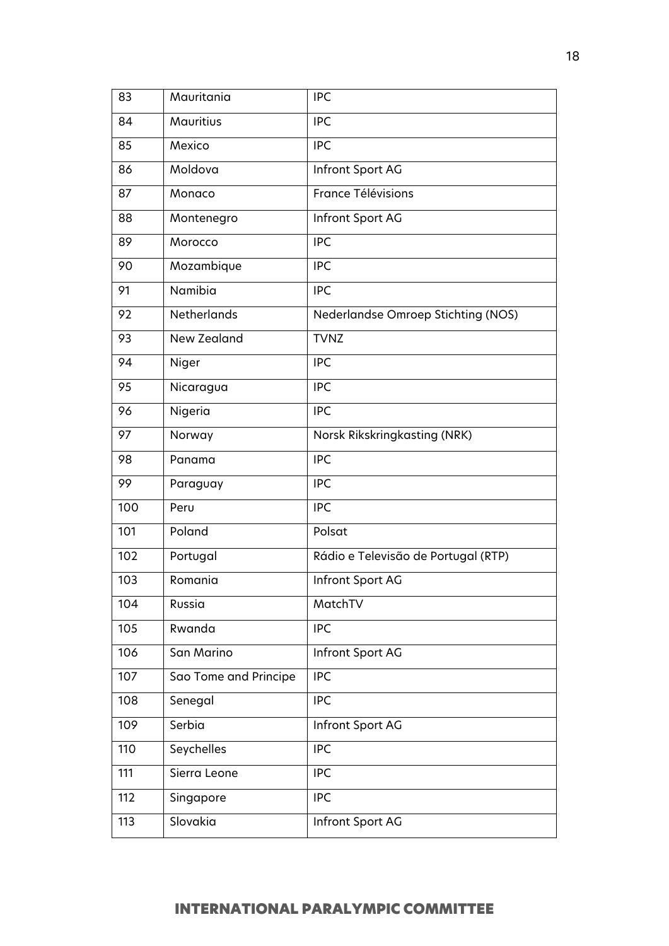| 83  | Mauritania            | <b>IPC</b>                          |
|-----|-----------------------|-------------------------------------|
| 84  | <b>Mauritius</b>      | <b>IPC</b>                          |
| 85  | Mexico                | <b>IPC</b>                          |
| 86  | Moldova               | Infront Sport AG                    |
| 87  | Monaco                | <b>France Télévisions</b>           |
| 88  | Montenegro            | Infront Sport AG                    |
| 89  | Morocco               | <b>IPC</b>                          |
| 90  | Mozambique            | <b>IPC</b>                          |
| 91  | Namibia               | <b>IPC</b>                          |
| 92  | Netherlands           | Nederlandse Omroep Stichting (NOS)  |
| 93  | <b>New Zealand</b>    | <b>TVNZ</b>                         |
| 94  | Niger                 | <b>IPC</b>                          |
| 95  | Nicaragua             | <b>IPC</b>                          |
| 96  | Nigeria               | <b>IPC</b>                          |
| 97  | Norway                | Norsk Rikskringkasting (NRK)        |
| 98  | Panama                | <b>IPC</b>                          |
| 99  | Paraguay              | <b>IPC</b>                          |
| 100 | Peru                  | <b>IPC</b>                          |
| 101 | Poland                | Polsat                              |
| 102 | Portugal              | Rádio e Televisão de Portugal (RTP) |
| 103 | Romania               | Infront Sport AG                    |
| 104 | Russia                | MatchTV                             |
| 105 | Rwanda                | <b>IPC</b>                          |
| 106 | San Marino            | Infront Sport AG                    |
| 107 | Sao Tome and Principe | <b>IPC</b>                          |
| 108 | Senegal               | <b>IPC</b>                          |
| 109 | Serbia                | Infront Sport AG                    |
| 110 | Seychelles            | <b>IPC</b>                          |
| 111 | Sierra Leone          | <b>IPC</b>                          |
| 112 | Singapore             | <b>IPC</b>                          |
| 113 | Slovakia              | Infront Sport AG                    |